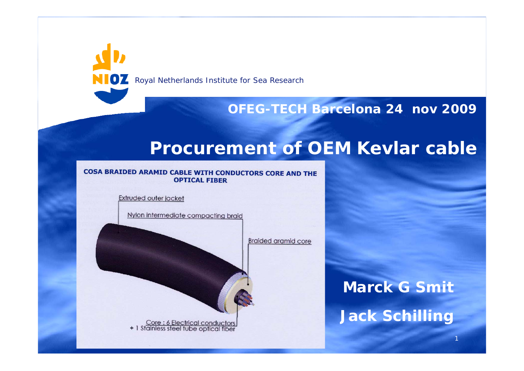**NIOZ** Royal Netherlands Institute for Sea Research

#### **OFEG-TECH Barcelona 24 nov 2009**

## **Procurement of OEM Kevlar cable**

#### COSA BRAIDED ARAMID CABLE WITH CONDUCTORS CORE AND THE **OPTICAL FIBER**

**Extruded outer jacket** 

Nylon intermediate compacting braid

Core : 6 Electrical conductors<br>+ 1 Stainless steel tube optical fiber

**Braided aramid core** 

**Marck G Smit**

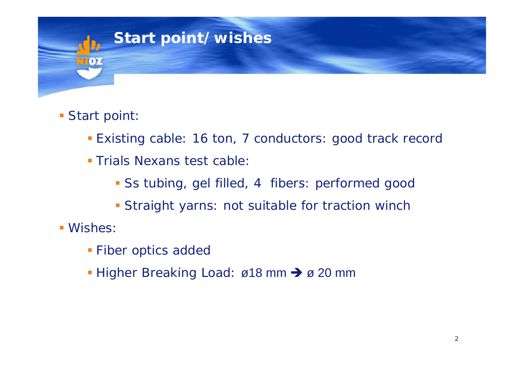

### **Start point:**

- **Existing cable: 16 ton, 7 conductors: good track record**
- **Trials Nexans test cable:** 
	- Ss tubing, gel filled, 4 fibers: performed good
	- **Straight yarns: not suitable for traction winch**
- Wishes:
	- **Fiber optics added**
	- Higher Breaking Load: ø18 mm → ø 20 mm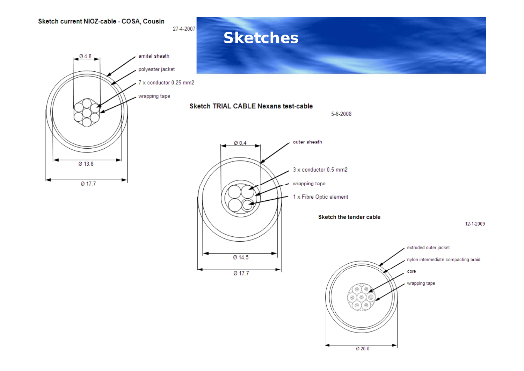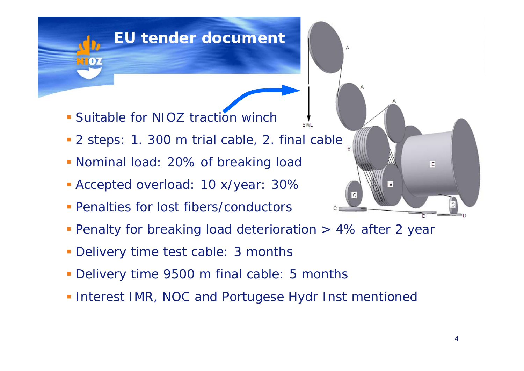# **EU tender document**

- **Suitable for NIOZ traction winch**
- 2 steps: 1. 300 m trial cable, 2. final cable
- Nominal load: 20% of breaking load
- Accepted overload: 10 x/year: 30%
- **Penalties for lost fibers/conductors**
- **Penalty for breaking load deterioration > 4% after 2 year**

**SWI** 

- Delivery time test cable: 3 months
- Delivery time 9500 m final cable: 5 months
- **Interest IMR, NOC and Portugese Hydr Inst mentioned**

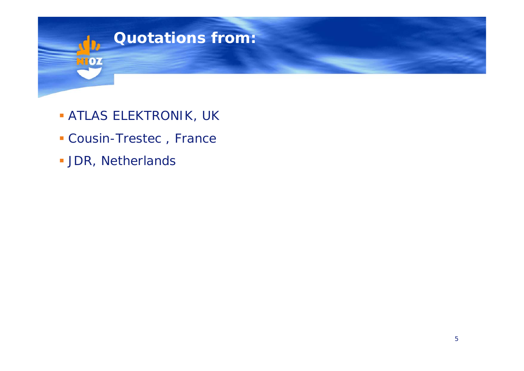

- ATLAS ELEKTRONIK, UK
- Cousin-Trestec , France
- **JDR, Netherlands**